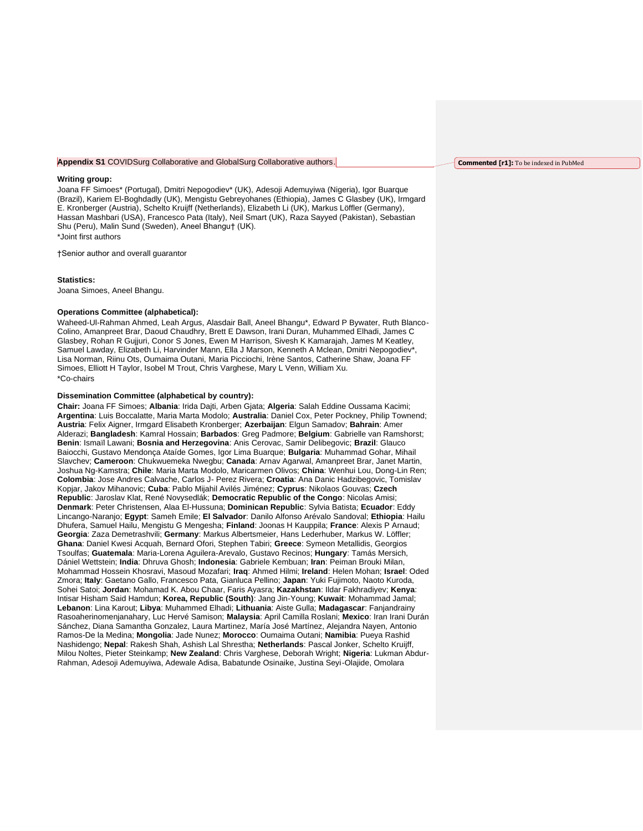## **Appendix S1** COVIDSurg Collaborative and GlobalSurg Collaborative authors.

#### **Writing group:**

Joana FF Simoes\* (Portugal), Dmitri Nepogodiev\* (UK), Adesoji Ademuyiwa (Nigeria), Igor Buarque (Brazil), Kariem El-Boghdadly (UK), Mengistu Gebreyohanes (Ethiopia), James C Glasbey (UK), Irmgard E. Kronberger (Austria), Schelto Kruijff (Netherlands), Elizabeth Li (UK), Markus Löffler (Germany), Hassan Mashbari (USA), Francesco Pata (Italy), Neil Smart (UK), Raza Sayyed (Pakistan), Sebastian Shu (Peru), Malin Sund (Sweden), Aneel Bhangu† (UK). \*Joint first authors

†Senior author and overall guarantor

### **Statistics:**

Joana Simoes, Aneel Bhangu.

### **Operations Committee (alphabetical):**

Waheed-Ul-Rahman Ahmed, Leah Argus, Alasdair Ball, Aneel Bhangu\*, Edward P Bywater, Ruth Blanco-Colino, Amanpreet Brar, Daoud Chaudhry, Brett E Dawson, Irani Duran, Muhammed Elhadi, James C Glasbey, Rohan R Gujjuri, Conor S Jones, Ewen M Harrison, Sivesh K Kamarajah, James M Keatley, Samuel Lawday, Elizabeth Li, Harvinder Mann, Ella J Marson, Kenneth A Mclean, Dmitri Nepogodiev\*, Lisa Norman, Riinu Ots, Oumaima Outani, Maria Picciochi, Irène Santos, Catherine Shaw, Joana FF Simoes, Elliott H Taylor, Isobel M Trout, Chris Varghese, Mary L Venn, William Xu. \*Co-chairs

# **Dissemination Committee (alphabetical by country):**

**Chair:** Joana FF Simoes; **Albania**: Irida Dajti, Arben Gjata; **Algeria**: Salah Eddine Oussama Kacimi; **Argentina**: Luis Boccalatte, Maria Marta Modolo; **Australia**: Daniel Cox, Peter Pockney, Philip Townend; **Austria**: Felix Aigner, Irmgard Elisabeth Kronberger; **Azerbaijan**: Elgun Samadov; **Bahrain**: Amer Alderazi; **Bangladesh**: Kamral Hossain; **Barbados**: Greg Padmore; **Belgium**: Gabrielle van Ramshorst; **Benin**: Ismaïl Lawani; **Bosnia and Herzegovina**: Anis Cerovac, Samir Delibegovic; **Brazil**: Glauco Baiocchi, Gustavo Mendonça Ataíde Gomes, Igor Lima Buarque; **Bulgaria**: Muhammad Gohar, Mihail Slavchev; **Cameroon**: Chukwuemeka Nwegbu; **Canada**: Arnav Agarwal, Amanpreet Brar, Janet Martin, Joshua Ng-Kamstra; **Chile**: Maria Marta Modolo, Maricarmen Olivos; **China**: Wenhui Lou, Dong-Lin Ren; **Colombia**: Jose Andres Calvache, Carlos J- Perez Rivera; **Croatia**: Ana Danic Hadzibegovic, Tomislav Kopjar, Jakov Mihanovic; **Cuba**: Pablo Mijahil Avilés Jiménez; **Cyprus**: Nikolaos Gouvas; **Czech Republic**: Jaroslav Klat, René Novysedlák; **Democratic Republic of the Congo**: Nicolas Amisi; **Denmark**: Peter Christensen, Alaa El-Hussuna; **Dominican Republic**: Sylvia Batista; **Ecuador**: Eddy Lincango-Naranjo; **Egypt**: Sameh Emile; **El Salvador**: Danilo Alfonso Arévalo Sandoval; **Ethiopia**: Hailu Dhufera, Samuel Hailu, Mengistu G Mengesha; **Finland**: Joonas H Kauppila; **France**: Alexis P Arnaud; **Georgia**: Zaza Demetrashvili; **Germany**: Markus Albertsmeier, Hans Lederhuber, Markus W. Löffler; **Ghana**: Daniel Kwesi Acquah, Bernard Ofori, Stephen Tabiri; **Greece**: Symeon Metallidis, Georgios Tsoulfas; **Guatemala**: Maria-Lorena Aguilera-Arevalo, Gustavo Recinos; **Hungary**: Tamás Mersich, Dániel Wettstein; **India**: Dhruva Ghosh; **Indonesia**: Gabriele Kembuan; **Iran**: Peiman Brouki Milan, Mohammad Hossein Khosravi, Masoud Mozafari; **Iraq**: Ahmed Hilmi; **Ireland**: Helen Mohan; **Israel**: Oded Zmora; **Italy**: Gaetano Gallo, Francesco Pata, Gianluca Pellino; **Japan**: Yuki Fujimoto, Naoto Kuroda, Sohei Satoi; **Jordan**: Mohamad K. Abou Chaar, Faris Ayasra; **Kazakhstan**: Ildar Fakhradiyev; **Kenya**: Intisar Hisham Said Hamdun; **Korea, Republic (South)**: Jang Jin-Young; **Kuwait**: Mohammad Jamal; **Lebanon**: Lina Karout; **Libya**: Muhammed Elhadi; **Lithuania**: Aiste Gulla; **Madagascar**: Fanjandrainy Rasoaherinomenjanahary, Luc Hervé Samison; **Malaysia**: April Camilla Roslani; **Mexico**: Iran Irani Durán Sánchez, Diana Samantha Gonzalez, Laura Martinez, María José Martínez, Alejandra Nayen, Antonio Ramos-De la Medina; **Mongolia**: Jade Nunez; **Morocco**: Oumaima Outani; **Namibia**: Pueya Rashid Nashidengo; **Nepal**: Rakesh Shah, Ashish Lal Shrestha; **Netherlands**: Pascal Jonker, Schelto Kruijff, Milou Noltes, Pieter Steinkamp; **New Zealand**: Chris Varghese, Deborah Wright; **Nigeria**: Lukman Abdur-Rahman, Adesoji Ademuyiwa, Adewale Adisa, Babatunde Osinaike, Justina Seyi-Olajide, Omolara

## **Commented [r1]:** To be indexed in PubMed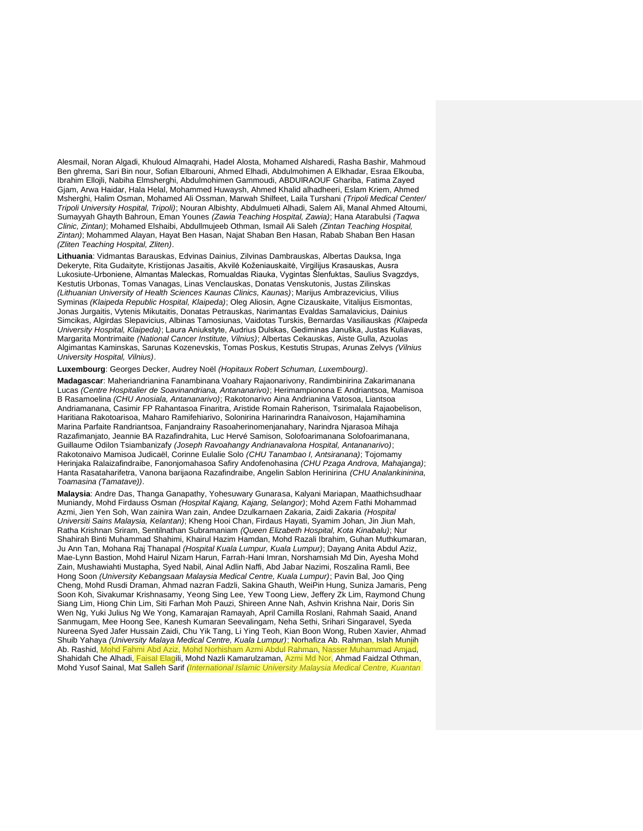Alesmail, Noran Algadi, Khuloud Almaqrahi, Hadel Alosta, Mohamed Alsharedi, Rasha Bashir, Mahmoud Ben ghrema, Sari Bin nour, Sofian Elbarouni, Ahmed Elhadi, Abdulmohimen A Elkhadar, Esraa Elkouba, Ibrahim Ellojli, Nabiha Elmsherghi, Abdulmohimen Gammoudi, ABDUlRAOUF Ghariba, Fatima Zayed Gjam, Arwa Haidar, Hala Helal, Mohammed Huwaysh, Ahmed Khalid alhadheeri, Eslam Kriem, Ahmed Msherghi, Halim Osman, Mohamed Ali Ossman, Marwah Shilfeet, Laila Turshani *(Tripoli Medical Center/ Tripoli University Hospital, Tripoli)*; Nouran Albishty, Abdulmueti Alhadi, Salem Ali, Manal Ahmed Altoumi, Sumayyah Ghayth Bahroun, Eman Younes *(Zawia Teaching Hospital, Zawia)*; Hana Atarabulsi *(Taqwa Clinic, Zintan)*; Mohamed Elshaibi, Abdullmujeeb Othman, Ismail Ali Saleh *(Zintan Teaching Hospital, Zintan)*; Mohammed Alayan, Hayat Ben Hasan, Najat Shaban Ben Hasan, Rabab Shaban Ben Hasan *(Zliten Teaching Hospital, Zliten)*.

**Lithuania**: Vidmantas Barauskas, Edvinas Dainius, Zilvinas Dambrauskas, Albertas Dauksa, Inga Dekeryte, Rita Gudaityte, Kristijonas Jasaitis, Akvilė Koženiauskaitė, Virgilijus Krasauskas, Ausra Lukosiute-Urboniene, Almantas Maleckas, Romualdas Riauka, Vygintas Šlenfuktas, Saulius Svagzdys, Kestutis Urbonas, Tomas Vanagas, Linas Venclauskas, Donatas Venskutonis, Justas Zilinskas *(Lithuanian University of Health Sciences Kaunas Clinics, Kaunas)*; Marijus Ambrazevicius, Vilius Syminas *(Klaipeda Republic Hospital, Klaipeda)*; Oleg Aliosin, Agne Cizauskaite, Vitalijus Eismontas, Jonas Jurgaitis, Vytenis Mikutaitis, Donatas Petrauskas, Narimantas Evaldas Samalavicius, Dainius Simcikas, Algirdas Slepavicius, Albinas Tamosiunas, Vaidotas Turskis, Bernardas Vasiliauskas *(Klaipeda University Hospital, Klaipeda)*; Laura Aniukstyte, Audrius Dulskas, Gediminas Januška, Justas Kuliavas, Margarita Montrimaite *(National Cancer Institute, Vilnius)*; Albertas Cekauskas, Aiste Gulla, Azuolas Algimantas Kaminskas, Sarunas Kozenevskis, Tomas Poskus, Kestutis Strupas, Arunas Zelvys *(Vilnius University Hospital, Vilnius)*.

# **Luxembourg**: Georges Decker, Audrey Noël *(Hopitaux Robert Schuman, Luxembourg)*.

**Madagascar**: Maheriandrianina Fanambinana Voahary Rajaonarivony, Randimbinirina Zakarimanana Lucas *(Centre Hospitalier de Soavinandriana, Antananarivo)*; Herimampionona E Andriantsoa, Mamisoa B Rasamoelina *(CHU Anosiala, Antananarivo)*; Rakotonarivo Aina Andrianina Vatosoa, Liantsoa Andriamanana, Casimir FP Rahantasoa Finaritra, Aristide Romain Raherison, Tsirimalala Rajaobelison, Haritiana Rakotoarisoa, Maharo Ramifehiarivo, Solonirina Harinarindra Ranaivoson, Hajamihamina Marina Parfaite Randriantsoa, Fanjandrainy Rasoaherinomenjanahary, Narindra Njarasoa Mihaja Razafimanjato, Jeannie BA Razafindrahita, Luc Hervé Samison, Solofoarimanana Solofoarimanana, Guillaume Odilon Tsiambanizafy *(Joseph Ravoahangy Andrianavalona Hospital, Antananarivo)*; Rakotonaivo Mamisoa Judicaël, Corinne Eulalie Solo *(CHU Tanambao I, Antsiranana)*; Tojomamy Herinjaka Ralaizafindraibe, Fanonjomahasoa Safiry Andofenohasina *(CHU Pzaga Androva, Mahajanga)*; Hanta Rasataharifetra, Vanona barijaona Razafindraibe, Angelin Sablon Herinirina *(CHU Analankininina, Toamasina (Tamatave))*.

**Malaysia**: Andre Das, Thanga Ganapathy, Yohesuwary Gunarasa, Kalyani Mariapan, Maathichsudhaar Muniandy, Mohd Firdauss Osman *(Hospital Kajang, Kajang, Selangor)*; Mohd Azem Fathi Mohammad Azmi, Jien Yen Soh, Wan zainira Wan zain, Andee Dzulkarnaen Zakaria, Zaidi Zakaria *(Hospital Universiti Sains Malaysia, Kelantan)*; Kheng Hooi Chan, Firdaus Hayati, Syamim Johan, Jin Jiun Mah, Ratha Krishnan Sriram, Sentilnathan Subramaniam *(Queen Elizabeth Hospital, Kota Kinabalu)*; Nur Shahirah Binti Muhammad Shahimi, Khairul Hazim Hamdan, Mohd Razali Ibrahim, Guhan Muthkumaran, Ju Ann Tan, Mohana Raj Thanapal *(Hospital Kuala Lumpur, Kuala Lumpur)*; Dayang Anita Abdul Aziz, Mae-Lynn Bastion, Mohd Hairul Nizam Harun, Farrah-Hani Imran, Norshamsiah Md Din, Ayesha Mohd Zain, Mushawiahti Mustapha, Syed Nabil, Ainal Adlin Naffi, Abd Jabar Nazimi, Roszalina Ramli, Bee Hong Soon *(University Kebangsaan Malaysia Medical Centre, Kuala Lumpur)*; Pavin Bal, Joo Qing Cheng, Mohd Rusdi Draman, Ahmad nazran Fadzli, Sakina Ghauth, WeiPin Hung, Suniza Jamaris, Peng Soon Koh, Sivakumar Krishnasamy, Yeong Sing Lee, Yew Toong Liew, Jeffery Zk Lim, Raymond Chung Siang Lim, Hiong Chin Lim, Siti Farhan Moh Pauzi, Shireen Anne Nah, Ashvin Krishna Nair, Doris Sin Wen Ng, Yuki Julius Ng We Yong, Kamarajan Ramayah, April Camilla Roslani, Rahmah Saaid, Anand Sanmugam, Mee Hoong See, Kanesh Kumaran Seevalingam, Neha Sethi, Srihari Singaravel, Syeda Nureena Syed Jafer Hussain Zaidi, Chu Yik Tang, Li Ying Teoh, Kian Boon Wong, Ruben Xavier, Ahmad Shuib Yahaya *(University Malaya Medical Centre, Kuala Lumpur)*; Norhafiza Ab. Rahman, Islah Munjih Ab. Rashid, Mohd Fahmi Abd Aziz, Mohd Norhisham Azmi Abdul Rahman, Nasser Muhammad Amjad, Shahidah Che Alhadi, Faisal Elagili, Mohd Nazli Kamarulzaman, Azmi Md Nor, Ahmad Faidzal Othman, Mohd Yusof Sainal, Mat Salleh Sarif *(International Islamic University Malaysia Medical Centre, Kuantan*